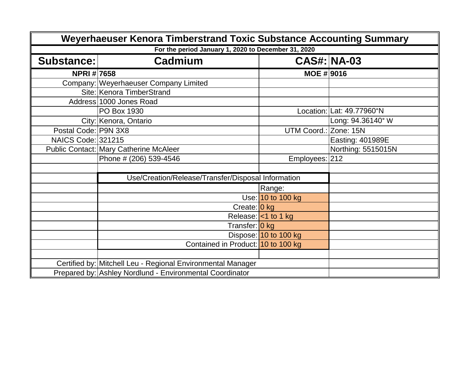| Weyerhaeuser Kenora Timberstrand Toxic Substance Accounting Summary |                                                             |                       |                           |  |  |
|---------------------------------------------------------------------|-------------------------------------------------------------|-----------------------|---------------------------|--|--|
|                                                                     | For the period January 1, 2020 to December 31, 2020         |                       |                           |  |  |
| Substance:                                                          | Cadmium                                                     | <b>CAS#: NA-03</b>    |                           |  |  |
| <b>NPRI#7658</b>                                                    |                                                             | <b>MOE #9016</b>      |                           |  |  |
|                                                                     | Company:   Weyerhaeuser Company Limited                     |                       |                           |  |  |
|                                                                     | Site: Kenora TimberStrand                                   |                       |                           |  |  |
|                                                                     | Address 1000 Jones Road                                     |                       |                           |  |  |
|                                                                     | PO Box 1930                                                 |                       | Location: Lat: 49.77960°N |  |  |
|                                                                     | City: Kenora, Ontario                                       |                       | Long: 94.36140° W         |  |  |
| Postal Code: P9N 3X8                                                |                                                             | <b>UTM Coord.:</b>    | Zone: 15N                 |  |  |
| <b>NAICS Code: 321215</b>                                           |                                                             |                       | Easting: 401989E          |  |  |
|                                                                     | <b>Public Contact: Mary Catherine McAleer</b>               |                       | Northing: 5515015N        |  |  |
|                                                                     | Phone # (206) 539-4546                                      | Employees: 212        |                           |  |  |
|                                                                     |                                                             |                       |                           |  |  |
|                                                                     | Use/Creation/Release/Transfer/Disposal Information          |                       |                           |  |  |
|                                                                     |                                                             | Range:                |                           |  |  |
|                                                                     |                                                             | Use: 10 to 100 kg     |                           |  |  |
|                                                                     | Create: 0 kg                                                |                       |                           |  |  |
|                                                                     |                                                             | Release: <1 to 1 kg   |                           |  |  |
|                                                                     | Transfer: 0 kg                                              |                       |                           |  |  |
|                                                                     |                                                             | Dispose: 10 to 100 kg |                           |  |  |
|                                                                     | Contained in Product: 10 to 100 kg                          |                       |                           |  |  |
|                                                                     |                                                             |                       |                           |  |  |
|                                                                     | Certified by: Mitchell Leu - Regional Environmental Manager |                       |                           |  |  |
|                                                                     | Prepared by: Ashley Nordlund - Environmental Coordinator    |                       |                           |  |  |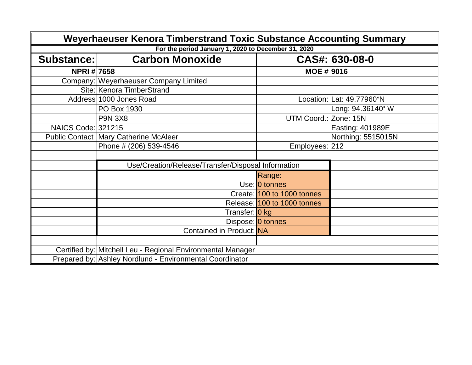| Weyerhaeuser Kenora Timberstrand Toxic Substance Accounting Summary |                                                             |                             |                           |
|---------------------------------------------------------------------|-------------------------------------------------------------|-----------------------------|---------------------------|
|                                                                     | For the period January 1, 2020 to December 31, 2020         |                             |                           |
| <b>Substance:</b>                                                   | <b>Carbon Monoxide</b>                                      |                             | CAS#: 630-08-0            |
| NPRI # 7658                                                         |                                                             | <b>MOE #9016</b>            |                           |
|                                                                     | Company:   Weyerhaeuser Company Limited                     |                             |                           |
|                                                                     | Site: Kenora TimberStrand                                   |                             |                           |
|                                                                     | Address 1000 Jones Road                                     |                             | Location: Lat: 49.77960°N |
|                                                                     | PO Box 1930                                                 |                             | Long: 94.36140° W         |
|                                                                     | <b>P9N 3X8</b>                                              | UTM Coord.: Zone: 15N       |                           |
| <b>NAICS Code: 321215</b>                                           |                                                             |                             | Easting: 401989E          |
|                                                                     | <b>Public Contact   Mary Catherine McAleer</b>              |                             | Northing: 5515015N        |
|                                                                     | Phone # (206) 539-4546                                      | Employees: 212              |                           |
|                                                                     |                                                             |                             |                           |
|                                                                     | Use/Creation/Release/Transfer/Disposal Information          |                             |                           |
|                                                                     |                                                             | Range:                      |                           |
|                                                                     |                                                             | Use: 0 tonnes               |                           |
|                                                                     |                                                             | Create: 100 to 1000 tonnes  |                           |
|                                                                     |                                                             | Release: 100 to 1000 tonnes |                           |
|                                                                     | Transfer: 0 kg                                              |                             |                           |
|                                                                     |                                                             | Dispose: 0 tonnes           |                           |
|                                                                     | Contained in Product: NA                                    |                             |                           |
|                                                                     |                                                             |                             |                           |
|                                                                     | Certified by: Mitchell Leu - Regional Environmental Manager |                             |                           |
|                                                                     | Prepared by: Ashley Nordlund - Environmental Coordinator    |                             |                           |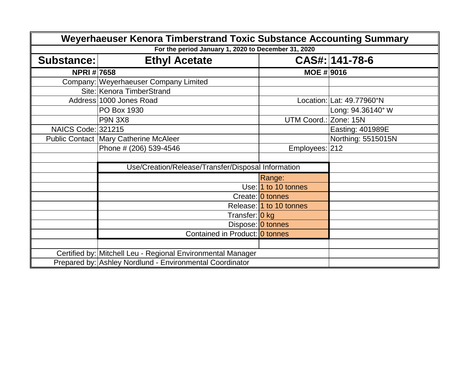| Weyerhaeuser Kenora Timberstrand Toxic Substance Accounting Summary |                                                             |                         |                           |  |  |
|---------------------------------------------------------------------|-------------------------------------------------------------|-------------------------|---------------------------|--|--|
|                                                                     | For the period January 1, 2020 to December 31, 2020         |                         |                           |  |  |
| Substance:                                                          | <b>Ethyl Acetate</b>                                        |                         | CAS#: 141-78-6            |  |  |
| <b>NPRI#7658</b>                                                    |                                                             | MOE #   9016            |                           |  |  |
|                                                                     | Company: Weyerhaeuser Company Limited                       |                         |                           |  |  |
|                                                                     | Site: Kenora TimberStrand                                   |                         |                           |  |  |
|                                                                     | Address 1000 Jones Road                                     |                         | Location: Lat: 49.77960°N |  |  |
|                                                                     | PO Box 1930                                                 |                         | Long: 94.36140° W         |  |  |
|                                                                     | <b>P9N 3X8</b>                                              | <b>UTM Coord.:</b>      | Zone: 15N                 |  |  |
| <b>NAICS Code: 321215</b>                                           |                                                             |                         | Easting: 401989E          |  |  |
|                                                                     | <b>Public Contact   Mary Catherine McAleer</b>              |                         | Northing: 5515015N        |  |  |
|                                                                     | Phone # (206) 539-4546                                      | Employees: 212          |                           |  |  |
|                                                                     |                                                             |                         |                           |  |  |
|                                                                     | Use/Creation/Release/Transfer/Disposal Information          |                         |                           |  |  |
|                                                                     |                                                             | Range:                  |                           |  |  |
|                                                                     |                                                             | Use: 1 to 10 tonnes     |                           |  |  |
|                                                                     |                                                             | Create: 0 tonnes        |                           |  |  |
|                                                                     |                                                             | Release: 1 to 10 tonnes |                           |  |  |
|                                                                     | Transfer: 0 kg                                              |                         |                           |  |  |
|                                                                     |                                                             | Dispose: 0 tonnes       |                           |  |  |
|                                                                     | Contained in Product: 0 tonnes                              |                         |                           |  |  |
|                                                                     |                                                             |                         |                           |  |  |
|                                                                     | Certified by: Mitchell Leu - Regional Environmental Manager |                         |                           |  |  |
|                                                                     | Prepared by: Ashley Nordlund - Environmental Coordinator    |                         |                           |  |  |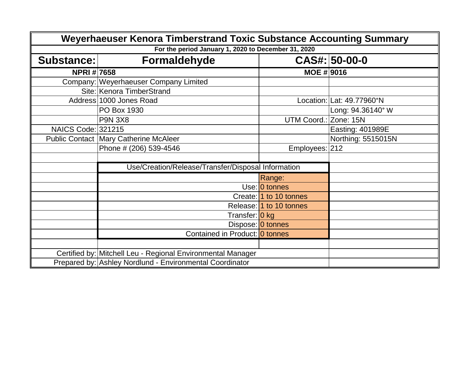| Weyerhaeuser Kenora Timberstrand Toxic Substance Accounting Summary |                                                             |                         |                           |  |  |
|---------------------------------------------------------------------|-------------------------------------------------------------|-------------------------|---------------------------|--|--|
|                                                                     | For the period January 1, 2020 to December 31, 2020         |                         |                           |  |  |
| Substance:                                                          | Formaldehyde                                                |                         | CAS#: 50-00-0             |  |  |
| <b>NPRI#7658</b>                                                    |                                                             | MOE #   9016            |                           |  |  |
|                                                                     | Company: Weyerhaeuser Company Limited                       |                         |                           |  |  |
|                                                                     | Site: Kenora TimberStrand                                   |                         |                           |  |  |
|                                                                     | Address 1000 Jones Road                                     |                         | Location: Lat: 49.77960°N |  |  |
|                                                                     | PO Box 1930                                                 |                         | Long: 94.36140° W         |  |  |
|                                                                     | <b>P9N 3X8</b>                                              | UTM Coord.:             | Zone: 15N                 |  |  |
| <b>NAICS Code: 321215</b>                                           |                                                             |                         | Easting: 401989E          |  |  |
|                                                                     | <b>Public Contact Mary Catherine McAleer</b>                |                         | Northing: 5515015N        |  |  |
|                                                                     | Phone # (206) 539-4546                                      | Employees: 212          |                           |  |  |
|                                                                     |                                                             |                         |                           |  |  |
|                                                                     | Use/Creation/Release/Transfer/Disposal Information          |                         |                           |  |  |
|                                                                     |                                                             | Range:                  |                           |  |  |
|                                                                     |                                                             | Use: 0 tonnes           |                           |  |  |
|                                                                     |                                                             | Create: 1 to 10 tonnes  |                           |  |  |
|                                                                     |                                                             | Release: 1 to 10 tonnes |                           |  |  |
|                                                                     | Transfer: 0 kg                                              |                         |                           |  |  |
|                                                                     |                                                             | Dispose: 0 tonnes       |                           |  |  |
|                                                                     | Contained in Product: 0 tonnes                              |                         |                           |  |  |
|                                                                     |                                                             |                         |                           |  |  |
|                                                                     | Certified by: Mitchell Leu - Regional Environmental Manager |                         |                           |  |  |
|                                                                     | Prepared by: Ashley Nordlund - Environmental Coordinator    |                         |                           |  |  |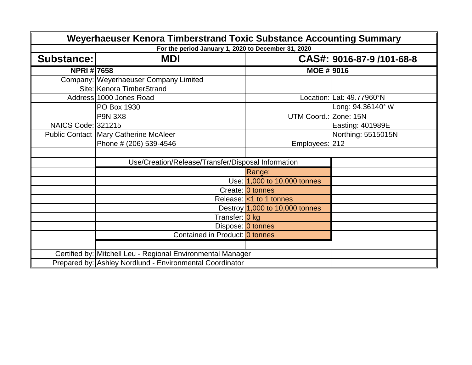| Weyerhaeuser Kenora Timberstrand Toxic Substance Accounting Summary |                                                             |                                  |                           |
|---------------------------------------------------------------------|-------------------------------------------------------------|----------------------------------|---------------------------|
|                                                                     | For the period January 1, 2020 to December 31, 2020         |                                  |                           |
| <b>Substance:</b>                                                   | <b>MDI</b>                                                  |                                  | CAS#: 9016-87-9 /101-68-8 |
| <b>NPRI#7658</b>                                                    |                                                             | <b>MOE # 9016</b>                |                           |
|                                                                     | Company: Weyerhaeuser Company Limited                       |                                  |                           |
|                                                                     | Site: Kenora TimberStrand                                   |                                  |                           |
|                                                                     | Address 1000 Jones Road                                     |                                  | Location: Lat: 49.77960°N |
|                                                                     | PO Box 1930                                                 |                                  | Long: 94.36140° W         |
|                                                                     | <b>P9N 3X8</b>                                              | UTM Coord.: Zone: 15N            |                           |
| <b>NAICS Code: 321215</b>                                           |                                                             |                                  | Easting: 401989E          |
|                                                                     | <b>Public Contact Mary Catherine McAleer</b>                |                                  | Northing: 5515015N        |
|                                                                     | Phone # (206) 539-4546                                      | Employees: 212                   |                           |
|                                                                     |                                                             |                                  |                           |
|                                                                     | Use/Creation/Release/Transfer/Disposal Information          |                                  |                           |
|                                                                     |                                                             | Range:                           |                           |
|                                                                     |                                                             | Use: 1,000 to 10,000 tonnes      |                           |
|                                                                     |                                                             | Create: 0 tonnes                 |                           |
|                                                                     |                                                             | Release: < 1 to 1 tonnes         |                           |
|                                                                     |                                                             | Destroy $1,000$ to 10,000 tonnes |                           |
|                                                                     | Transfer: 0 kg                                              |                                  |                           |
|                                                                     |                                                             | Dispose: 0 tonnes                |                           |
|                                                                     | Contained in Product: 0 tonnes                              |                                  |                           |
|                                                                     |                                                             |                                  |                           |
|                                                                     | Certified by: Mitchell Leu - Regional Environmental Manager |                                  |                           |
|                                                                     | Prepared by: Ashley Nordlund - Environmental Coordinator    |                                  |                           |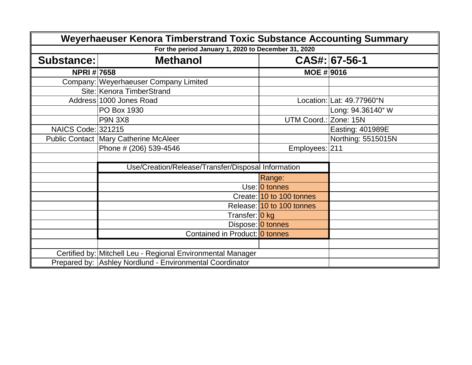| Weyerhaeuser Kenora Timberstrand Toxic Substance Accounting Summary |                                                             |                           |                           |
|---------------------------------------------------------------------|-------------------------------------------------------------|---------------------------|---------------------------|
|                                                                     | For the period January 1, 2020 to December 31, 2020         |                           |                           |
| Substance:                                                          | <b>Methanol</b>                                             |                           | CAS#: 67-56-1             |
| <b>NPRI#7658</b>                                                    |                                                             | MOE #   9016              |                           |
|                                                                     | Company:   Weyerhaeuser Company Limited                     |                           |                           |
|                                                                     | Site: Kenora TimberStrand                                   |                           |                           |
|                                                                     | Address 1000 Jones Road                                     |                           | Location: Lat: 49.77960°N |
|                                                                     | PO Box 1930                                                 |                           | Long: 94.36140° W         |
|                                                                     | <b>P9N 3X8</b>                                              | UTM Coord.:               | Zone: 15N                 |
| <b>NAICS Code: 321215</b>                                           |                                                             |                           | Easting: 401989E          |
|                                                                     | <b>Public Contact Mary Catherine McAleer</b>                |                           | Northing: 5515015N        |
|                                                                     | Phone # (206) 539-4546                                      | Employees: 211            |                           |
|                                                                     |                                                             |                           |                           |
|                                                                     | Use/Creation/Release/Transfer/Disposal Information          |                           |                           |
|                                                                     |                                                             | Range:                    |                           |
|                                                                     |                                                             | Use: 0 tonnes             |                           |
|                                                                     |                                                             | Create: 10 to 100 tonnes  |                           |
|                                                                     |                                                             | Release: 10 to 100 tonnes |                           |
|                                                                     | Transfer: 0 kg                                              |                           |                           |
|                                                                     |                                                             | Dispose: 0 tonnes         |                           |
|                                                                     | Contained in Product: 0 tonnes                              |                           |                           |
|                                                                     |                                                             |                           |                           |
|                                                                     | Certified by: Mitchell Leu - Regional Environmental Manager |                           |                           |
|                                                                     | Prepared by: Ashley Nordlund - Environmental Coordinator    |                           |                           |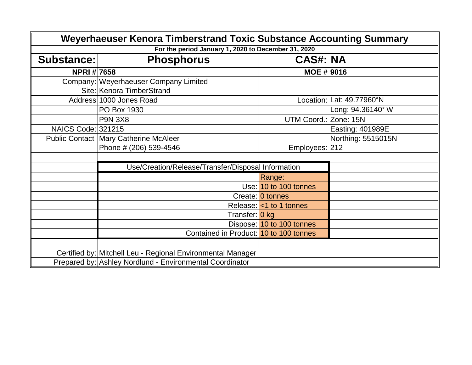| Weyerhaeuser Kenora Timberstrand Toxic Substance Accounting Summary |                                                             |                                    |                           |
|---------------------------------------------------------------------|-------------------------------------------------------------|------------------------------------|---------------------------|
|                                                                     | For the period January 1, 2020 to December 31, 2020         |                                    |                           |
| Substance:                                                          | <b>Phosphorus</b>                                           | <b>CAS#: NA</b>                    |                           |
| <b>NPRI#7658</b>                                                    |                                                             | <b>MOE #9016</b>                   |                           |
|                                                                     | Company:   Weyerhaeuser Company Limited                     |                                    |                           |
|                                                                     | Site: Kenora TimberStrand                                   |                                    |                           |
|                                                                     | Address 1000 Jones Road                                     |                                    | Location: Lat: 49.77960°N |
|                                                                     | PO Box 1930                                                 |                                    | Long: 94.36140° W         |
|                                                                     | <b>P9N 3X8</b>                                              | UTM Coord.: Zone: 15N              |                           |
| <b>NAICS Code: 321215</b>                                           |                                                             |                                    | Easting: 401989E          |
|                                                                     | <b>Public Contact Mary Catherine McAleer</b>                |                                    | Northing: 5515015N        |
|                                                                     | Phone # (206) 539-4546                                      | Employees: 212                     |                           |
|                                                                     |                                                             |                                    |                           |
|                                                                     | Use/Creation/Release/Transfer/Disposal Information          |                                    |                           |
|                                                                     |                                                             | Range:                             |                           |
|                                                                     |                                                             | Use: 10 to 100 tonnes              |                           |
|                                                                     |                                                             | Create: 0 tonnes                   |                           |
|                                                                     |                                                             | Release: <<< <r></r> 1 to 1 tonnes |                           |
|                                                                     | Transfer: 0 kg                                              |                                    |                           |
|                                                                     |                                                             | Dispose: 10 to 100 tonnes          |                           |
|                                                                     | Contained in Product: 10 to 100 tonnes                      |                                    |                           |
|                                                                     |                                                             |                                    |                           |
|                                                                     | Certified by: Mitchell Leu - Regional Environmental Manager |                                    |                           |
|                                                                     | Prepared by: Ashley Nordlund - Environmental Coordinator    |                                    |                           |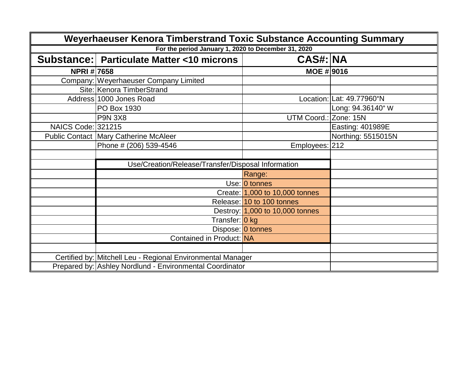| Weyerhaeuser Kenora Timberstrand Toxic Substance Accounting Summary |                                                             |                                 |                           |  |
|---------------------------------------------------------------------|-------------------------------------------------------------|---------------------------------|---------------------------|--|
|                                                                     | For the period January 1, 2020 to December 31, 2020         |                                 |                           |  |
|                                                                     | Substance:   Particulate Matter <10 microns                 | <b>CAS#: NA</b>                 |                           |  |
| <b>NPRI#7658</b>                                                    |                                                             | <b>MOE # 9016</b>               |                           |  |
|                                                                     | Company: Weyerhaeuser Company Limited                       |                                 |                           |  |
|                                                                     | Site: Kenora TimberStrand                                   |                                 |                           |  |
|                                                                     | Address 1000 Jones Road                                     |                                 | Location: Lat: 49.77960°N |  |
|                                                                     | PO Box 1930                                                 |                                 | Long: 94.36140° W         |  |
|                                                                     | <b>P9N 3X8</b>                                              | UTM Coord.: Zone: 15N           |                           |  |
| NAICS Code: 321215                                                  |                                                             |                                 | Easting: 401989E          |  |
|                                                                     | <b>Public Contact Mary Catherine McAleer</b>                |                                 | Northing: 5515015N        |  |
|                                                                     | Phone # (206) 539-4546                                      | Employees: 212                  |                           |  |
|                                                                     |                                                             |                                 |                           |  |
|                                                                     | Use/Creation/Release/Transfer/Disposal Information          |                                 |                           |  |
|                                                                     |                                                             | Range:                          |                           |  |
|                                                                     |                                                             | Use: 0 tonnes                   |                           |  |
|                                                                     |                                                             | Create: 1,000 to 10,000 tonnes  |                           |  |
|                                                                     |                                                             | Release: 10 to 100 tonnes       |                           |  |
|                                                                     |                                                             | Destroy: 1,000 to 10,000 tonnes |                           |  |
|                                                                     | Transfer: 0 kg                                              |                                 |                           |  |
|                                                                     |                                                             | Dispose: 0 tonnes               |                           |  |
|                                                                     | Contained in Product: NA                                    |                                 |                           |  |
|                                                                     |                                                             |                                 |                           |  |
|                                                                     | Certified by: Mitchell Leu - Regional Environmental Manager |                                 |                           |  |
|                                                                     | Prepared by: Ashley Nordlund - Environmental Coordinator    |                                 |                           |  |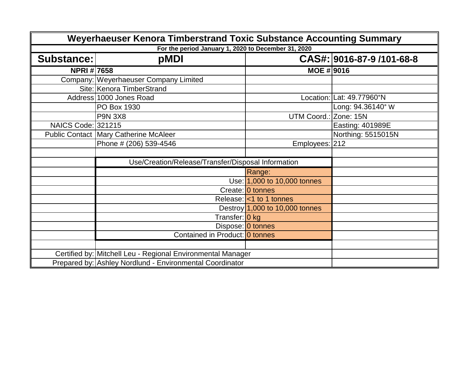| Weyerhaeuser Kenora Timberstrand Toxic Substance Accounting Summary |                                                             |                                  |                           |  |
|---------------------------------------------------------------------|-------------------------------------------------------------|----------------------------------|---------------------------|--|
|                                                                     | For the period January 1, 2020 to December 31, 2020         |                                  |                           |  |
| <b>Substance:</b>                                                   | pMDI                                                        |                                  | CAS#: 9016-87-9 /101-68-8 |  |
| <b>NPRI#7658</b>                                                    |                                                             | MOE #   9016                     |                           |  |
|                                                                     | Company: Weyerhaeuser Company Limited                       |                                  |                           |  |
|                                                                     | Site: Kenora TimberStrand                                   |                                  |                           |  |
|                                                                     | Address 1000 Jones Road                                     |                                  | Location: Lat: 49.77960°N |  |
|                                                                     | PO Box 1930                                                 |                                  | Long: 94.36140° W         |  |
|                                                                     | <b>P9N 3X8</b>                                              | UTM Coord.: Zone: 15N            |                           |  |
| <b>NAICS Code: 321215</b>                                           |                                                             |                                  | Easting: 401989E          |  |
|                                                                     | <b>Public Contact Mary Catherine McAleer</b>                |                                  | Northing: 5515015N        |  |
|                                                                     | Phone # (206) 539-4546                                      | Employees: 212                   |                           |  |
|                                                                     |                                                             |                                  |                           |  |
|                                                                     | Use/Creation/Release/Transfer/Disposal Information          |                                  |                           |  |
|                                                                     |                                                             | Range:                           |                           |  |
|                                                                     |                                                             | Use: 1,000 to 10,000 tonnes      |                           |  |
|                                                                     |                                                             | Create: 0 tonnes                 |                           |  |
|                                                                     |                                                             | Release: <1 to 1 tonnes          |                           |  |
|                                                                     |                                                             | Destroy $1,000$ to 10,000 tonnes |                           |  |
|                                                                     | Transfer: 0 kg                                              |                                  |                           |  |
|                                                                     |                                                             | Dispose: 0 tonnes                |                           |  |
|                                                                     | Contained in Product: 0 tonnes                              |                                  |                           |  |
|                                                                     |                                                             |                                  |                           |  |
|                                                                     | Certified by: Mitchell Leu - Regional Environmental Manager |                                  |                           |  |
|                                                                     | Prepared by: Ashley Nordlund - Environmental Coordinator    |                                  |                           |  |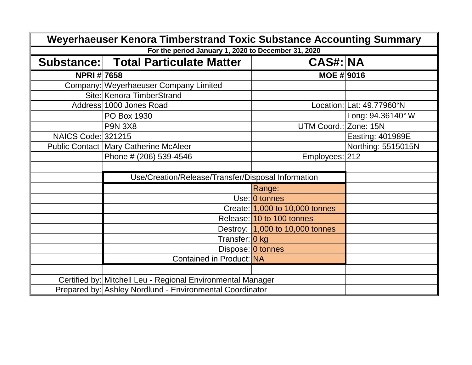| Weyerhaeuser Kenora Timberstrand Toxic Substance Accounting Summary |                                                             |                                 |                           |
|---------------------------------------------------------------------|-------------------------------------------------------------|---------------------------------|---------------------------|
|                                                                     | For the period January 1, 2020 to December 31, 2020         |                                 |                           |
|                                                                     | Substance: Total Particulate Matter                         | <b>CAS#: NA</b>                 |                           |
| <b>NPRI#7658</b>                                                    |                                                             | <b>MOE # 9016</b>               |                           |
|                                                                     | Company:   Weyerhaeuser Company Limited                     |                                 |                           |
|                                                                     | Site: Kenora TimberStrand                                   |                                 |                           |
|                                                                     | Address 1000 Jones Road                                     |                                 | Location: Lat: 49.77960°N |
|                                                                     | PO Box 1930                                                 |                                 | Long: 94.36140° W         |
|                                                                     | <b>P9N 3X8</b>                                              | UTM Coord.: Zone: 15N           |                           |
| <b>NAICS Code: 321215</b>                                           |                                                             |                                 | Easting: 401989E          |
|                                                                     | <b>Public Contact   Mary Catherine McAleer</b>              |                                 | Northing: 5515015N        |
|                                                                     | Phone # (206) 539-4546                                      | Employees: 212                  |                           |
|                                                                     |                                                             |                                 |                           |
|                                                                     | Use/Creation/Release/Transfer/Disposal Information          |                                 |                           |
|                                                                     |                                                             | Range:                          |                           |
|                                                                     |                                                             | Use: 0 tonnes                   |                           |
|                                                                     |                                                             | Create: 1,000 to 10,000 tonnes  |                           |
|                                                                     |                                                             | Release: 10 to 100 tonnes       |                           |
|                                                                     |                                                             | Destroy: 1,000 to 10,000 tonnes |                           |
|                                                                     | Transfer: 0 kg                                              |                                 |                           |
|                                                                     |                                                             | Dispose: 0 tonnes               |                           |
|                                                                     | Contained in Product: NA                                    |                                 |                           |
|                                                                     |                                                             |                                 |                           |
|                                                                     | Certified by: Mitchell Leu - Regional Environmental Manager |                                 |                           |
|                                                                     | Prepared by: Ashley Nordlund - Environmental Coordinator    |                                 |                           |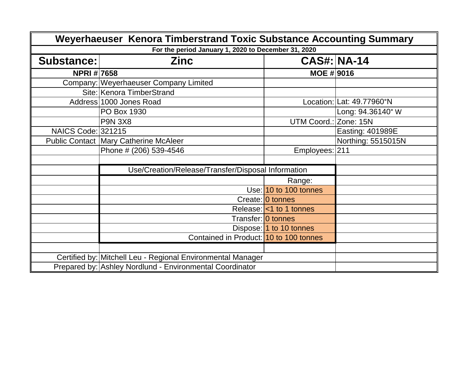| Weyerhaeuser Kenora Timberstrand Toxic Substance Accounting Summary |                                                             |                         |                           |  |
|---------------------------------------------------------------------|-------------------------------------------------------------|-------------------------|---------------------------|--|
|                                                                     | For the period January 1, 2020 to December 31, 2020         |                         |                           |  |
| <b>Substance:</b>                                                   | <b>Zinc</b>                                                 | <b>CAS#: NA-14</b>      |                           |  |
| <b>NPRI#7658</b>                                                    |                                                             | MOE # 9016              |                           |  |
|                                                                     | Company:   Weyerhaeuser Company Limited                     |                         |                           |  |
|                                                                     | Site: Kenora TimberStrand                                   |                         |                           |  |
|                                                                     | Address 1000 Jones Road                                     |                         | Location: Lat: 49.77960°N |  |
|                                                                     | PO Box 1930                                                 |                         | Long: 94.36140° W         |  |
|                                                                     | <b>P9N 3X8</b>                                              | UTM Coord.: Zone: 15N   |                           |  |
| <b>NAICS Code: 321215</b>                                           |                                                             |                         | Easting: 401989E          |  |
|                                                                     | <b>Public Contact Mary Catherine McAleer</b>                |                         | Northing: 5515015N        |  |
|                                                                     | Phone # (206) 539-4546                                      | Employees: 211          |                           |  |
|                                                                     |                                                             |                         |                           |  |
|                                                                     | Use/Creation/Release/Transfer/Disposal Information          |                         |                           |  |
|                                                                     |                                                             | Range:                  |                           |  |
|                                                                     |                                                             | Use: 10 to 100 tonnes   |                           |  |
|                                                                     |                                                             | Create: 0 tonnes        |                           |  |
|                                                                     |                                                             | Release: <1 to 1 tonnes |                           |  |
|                                                                     | Transfer: 0 tonnes                                          |                         |                           |  |
|                                                                     |                                                             | Dispose: 1 to 10 tonnes |                           |  |
|                                                                     | Contained in Product: 10 to 100 tonnes                      |                         |                           |  |
|                                                                     |                                                             |                         |                           |  |
|                                                                     | Certified by: Mitchell Leu - Regional Environmental Manager |                         |                           |  |
|                                                                     | Prepared by: Ashley Nordlund - Environmental Coordinator    |                         |                           |  |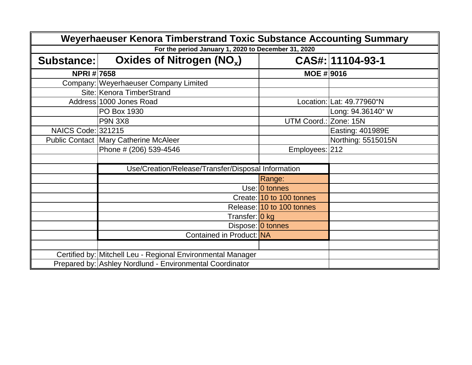| Weyerhaeuser Kenora Timberstrand Toxic Substance Accounting Summary |                                                             |                           |                           |  |  |
|---------------------------------------------------------------------|-------------------------------------------------------------|---------------------------|---------------------------|--|--|
|                                                                     | For the period January 1, 2020 to December 31, 2020         |                           |                           |  |  |
| Substance:                                                          | Oxides of Nitrogen $(NO_x)$                                 |                           | CAS#: 11104-93-1          |  |  |
| <b>NPRI#7658</b>                                                    |                                                             | <b>MOE #9016</b>          |                           |  |  |
|                                                                     | Company: Weyerhaeuser Company Limited                       |                           |                           |  |  |
|                                                                     | Site: Kenora TimberStrand                                   |                           |                           |  |  |
|                                                                     | Address 1000 Jones Road                                     |                           | Location: Lat: 49.77960°N |  |  |
|                                                                     | PO Box 1930                                                 |                           | Long: 94.36140° W         |  |  |
|                                                                     | <b>P9N 3X8</b>                                              | UTM Coord.:               | Zone: 15N                 |  |  |
| NAICS Code: 321215                                                  |                                                             |                           | Easting: 401989E          |  |  |
|                                                                     | <b>Public Contact Mary Catherine McAleer</b>                |                           | Northing: 5515015N        |  |  |
|                                                                     | Phone # (206) 539-4546                                      | Employees: 212            |                           |  |  |
|                                                                     |                                                             |                           |                           |  |  |
|                                                                     | Use/Creation/Release/Transfer/Disposal Information          |                           |                           |  |  |
|                                                                     |                                                             | Range:                    |                           |  |  |
|                                                                     |                                                             | Use: 0 tonnes             |                           |  |  |
|                                                                     |                                                             | Create: 10 to 100 tonnes  |                           |  |  |
|                                                                     |                                                             | Release: 10 to 100 tonnes |                           |  |  |
|                                                                     | Transfer: 0 kg                                              |                           |                           |  |  |
|                                                                     |                                                             | Dispose: 0 tonnes         |                           |  |  |
|                                                                     | Contained in Product: NA                                    |                           |                           |  |  |
|                                                                     |                                                             |                           |                           |  |  |
|                                                                     | Certified by: Mitchell Leu - Regional Environmental Manager |                           |                           |  |  |
|                                                                     | Prepared by: Ashley Nordlund - Environmental Coordinator    |                           |                           |  |  |